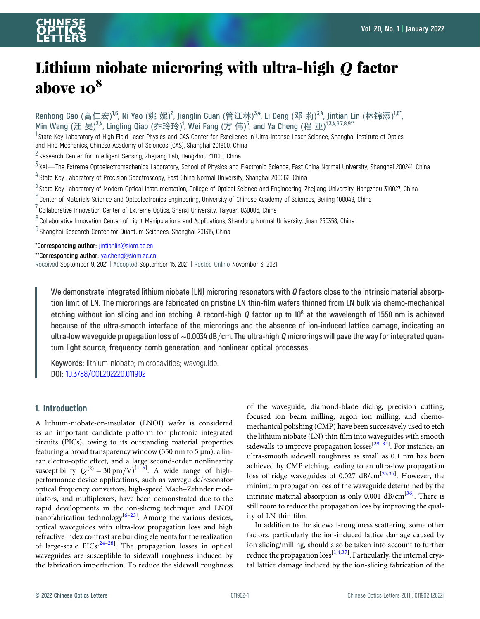# Lithium niobate microring with ultra-high <sup>Q</sup> factor above  $10^8$

Renhong Gao (高仁宏)<sup>1,6</sup>, Ni Yao (姚 妮)<sup>2</sup>, Jianglin Guan (管江林)<sup>3,4</sup>, Li Deng (邓 莉)<sup>3,4</sup>, Jintian Lin (林锦添)<sup>1,6\*</sup>, Min Wang (汪 旻)<sup>3,4</sup>, Lingling Qiao (乔玲玲)<sup>1</sup>, Wei Fang (方 伟)<sup>5</sup>, and Ya Cheng (程 亚)<sup>13,4,6,7,8,9\*\*</sup>

<sup>1</sup> State Key Laboratory of High Field Laser Physics and CAS Center for Excellence in Ultra-Intense Laser Science, Shanghai Institute of Optics and Fine Mechanics, Chinese Academy of Sciences (CAS), Shanghai 201800, China

 $2$  Research Center for Intelligent Sensing, Zhejiang Lab, Hangzhou 311100, China

- $3$  XXL—The Extreme Optoelectromechanics Laboratory, School of Physics and Electronic Science, East China Normal University, Shanghai 200241, China
- <sup>4</sup> State Key Laboratory of Precision Spectroscopy, East China Normal University, Shanghai 200062, China
- $^5$ State Key Laboratory of Modern Optical Instrumentation, College of Optical Science and Engineering, Zhejiang University, Hangzhou 310027, China
- $6$  Center of Materials Science and Optoelectronics Engineering, University of Chinese Academy of Sciences, Beijing 100049, China
- $7$  Collaborative Innovation Center of Extreme Optics, Shanxi University, Taiyuan 030006, China
- $8$  Collaborative Innovation Center of Light Manipulations and Applications, Shandong Normal University, Jinan 250358, China

<sup>9</sup> Shanghai Research Center for Quantum Sciences, Shanghai 201315, China

\*Corresponding author: [jintianlin@siom.ac.cn](mailto:jintianlin@siom.ac.cn)

\*\*Corresponding author: [ya.cheng@siom.ac.cn](mailto:ya.cheng@siom.ac.cn)

Received September 9, 2021 | Accepted September 15, 2021 | Posted Online November 3, 2021

We demonstrate integrated lithium niobate  $[LN]$  microring resonators with  $Q$  factors close to the intrinsic material absorption limit of LN. The microrings are fabricated on pristine LN thin-film wafers thinned from LN bulk via chemo-mechanical etching without ion slicing and ion etching. A record-high Q factor up to 10<sup>8</sup> at the wavelength of 1550 nm is achieved because of the ultra-smooth interface of the microrings and the absence of ion-induced lattice damage, indicating an ultra-low waveguide propagation loss of ~0.0034 dB/cm. The ultra-high Q microrings will pave the way for integrated quantum light source, frequency comb generation, and nonlinear optical processes.

Keywords: lithium niobate; microcavities; waveguide. DOI: [10.3788/COL202220.011902](https://doi.org/10.3788/COL202220.011902)

### 1. Introduction

A lithium-niobate-on-insulator (LNOI) wafer is considered as an important candidate platform for photonic integrated circuits (PICs), owing to its outstanding material properties featuring a broad transparency window (350 nm to 5 μm), a linear electro-optic effect, and a large second-order nonlinearity susceptibility  $(\chi^{(2)} = 30 \text{ pm/V})^{[1-5]}$  $(\chi^{(2)} = 30 \text{ pm/V})^{[1-5]}$  $(\chi^{(2)} = 30 \text{ pm/V})^{[1-5]}$  $(\chi^{(2)} = 30 \text{ pm/V})^{[1-5]}$  $(\chi^{(2)} = 30 \text{ pm/V})^{[1-5]}$ . A wide range of highperformance device applications, such as waveguide/resonator optical frequency convertors, high-speed Mach–Zehnder modulators, and multiplexers, have been demonstrated due to the rapid developments in the ion-slicing technique and LNOI nanofabrication technology<sup>[[6](#page-3-0)-[23](#page-3-0)]</sup>. Among the various devices, optical waveguides with ultra-low propagation loss and high refractive index contrast are building elements for the realization of large-scale PICs<sup>[[24](#page-3-0)-[28\]](#page-3-0)</sup>. The propagation losses in optical waveguides are susceptible to sidewall roughness induced by the fabrication imperfection. To reduce the sidewall roughness

of the waveguide, diamond-blade dicing, precision cutting, focused ion beam milling, argon ion milling, and chemomechanical polishing (CMP) have been successively used to etch the lithium niobate (LN) thin film into waveguides with smooth sidewalls to improve propagation losses<sup>[\[29](#page-3-0)-[34](#page-3-0)]</sup>. For instance, an ultra-smooth sidewall roughness as small as 0.1 nm has been achieved by CMP etching, leading to an ultra-low propagation loss of ridge waveguides of 0.027 dB/cm<sup>[\[25,35](#page-3-0)]</sup>. However, the minimum propagation loss of the waveguide determined by the intrinsic material absorption is only 0.001 dB/cm<sup>[[36\]](#page-3-0)</sup>. There is still room to reduce the propagation loss by improving the quality of LN thin film.

In addition to the sidewall-roughness scattering, some other factors, particularly the ion-induced lattice damage caused by ion slicing/milling, should also be taken into account to further reduce the propagation  $loss^{[1,4,37]}$  $loss^{[1,4,37]}$  $loss^{[1,4,37]}$  $loss^{[1,4,37]}$  $loss^{[1,4,37]}$ . Particularly, the internal crystal lattice damage induced by the ion-slicing fabrication of the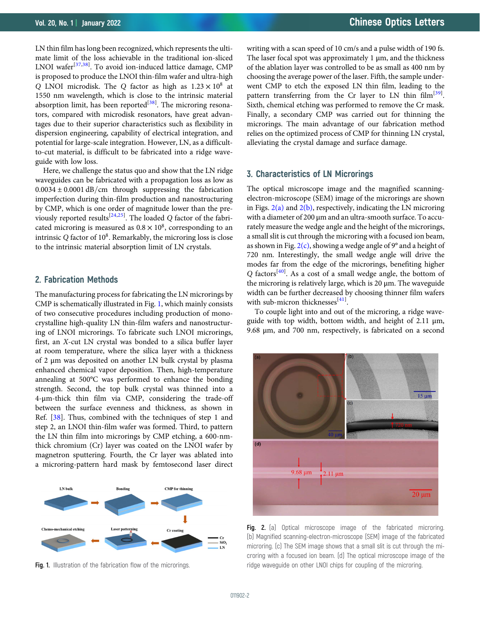<span id="page-1-0"></span>LN thin film has long been recognized, which represents the ultimate limit of the loss achievable in the traditional ion-sliced LNOI wafer<sup>[\[37,38](#page-3-0)]</sup>. To avoid ion-induced lattice damage, CMP is proposed to produce the LNOI thin-film wafer and ultra-high Q LNOI microdisk. The Q factor as high as  $1.23 \times 10^8$  at 1550 nm wavelength, which is close to the intrinsic material absorption limit, has been reported<sup>[\[38\]](#page-3-0)</sup>. The microring resonators, compared with microdisk resonators, have great advantages due to their superior characteristics such as flexibility in dispersion engineering, capability of electrical integration, and potential for large-scale integration. However, LN, as a difficultto-cut material, is difficult to be fabricated into a ridge waveguide with low loss.

Here, we challenge the status quo and show that the LN ridge waveguides can be fabricated with a propagation loss as low as  $0.0034 \pm 0.0001$  dB/cm through suppressing the fabrication imperfection during thin-film production and nanostructuring by CMP, which is one order of magnitude lower than the pre-viously reported results<sup>[\[24,25](#page-3-0)]</sup>. The loaded Q factor of the fabricated microring is measured as  $0.8 \times 10^8$ , corresponding to an intrinsic Q factor of  $10^8$ . Remarkably, the microring loss is close to the intrinsic material absorption limit of LN crystals.

#### 2. Fabrication Methods

The manufacturing process for fabricating the LN microrings by CMP is schematically illustrated in Fig. 1, which mainly consists of two consecutive procedures including production of monocrystalline high-quality LN thin-film wafers and nanostructuring of LNOI microrings. To fabricate such LNOI microrings, first, an X-cut LN crystal was bonded to a silica buffer layer at room temperature, where the silica layer with a thickness of 2 μm was deposited on another LN bulk crystal by plasma enhanced chemical vapor deposition. Then, high-temperature annealing at 500°C was performed to enhance the bonding strength. Second, the top bulk crystal was thinned into a 4-μm-thick thin film via CMP, considering the trade-off between the surface evenness and thickness, as shown in Ref. [[38](#page-3-0)]. Thus, combined with the techniques of step 1 and step 2, an LNOI thin-film wafer was formed. Third, to pattern the LN thin film into microrings by CMP etching, a 600-nmthick chromium (Cr) layer was coated on the LNOI wafer by magnetron sputtering. Fourth, the Cr layer was ablated into a microring-pattern hard mask by femtosecond laser direct



Fig. 1. Illustration of the fabrication flow of the microrings.

writing with a scan speed of 10 cm/s and a pulse width of 190 fs. The laser focal spot was approximately 1 μm, and the thickness of the ablation layer was controlled to be as small as 400 nm by choosing the average power of the laser. Fifth, the sample underwent CMP to etch the exposed LN thin film, leading to the pattern transferring from the Cr layer to LN thin film<sup>[\[39\]](#page-4-0)</sup>. Sixth, chemical etching was performed to remove the Cr mask. Finally, a secondary CMP was carried out for thinning the microrings. The main advantage of our fabrication method relies on the optimized process of CMP for thinning LN crystal, alleviating the crystal damage and surface damage.

### 3. Characteristics of LN Microrings

The optical microscope image and the magnified scanningelectron-microscope (SEM) image of the microrings are shown in Figs.  $2(a)$  and  $2(b)$ , respectively, indicating the LN microring with a diameter of 200 μm and an ultra-smooth surface. To accurately measure the wedge angle and the height of the microrings, a small slit is cut through the microring with a focused ion beam, as shown in Fig.  $2(c)$ , showing a wedge angle of 9° and a height of 720 nm. Interestingly, the small wedge angle will drive the modes far from the edge of the microrings, benefiting higher Q factors<sup>[\[40](#page-4-0)]</sup>. As a cost of a small wedge angle, the bottom of the microring is relatively large, which is 20 μm. The waveguide width can be further decreased by choosing thinner film wafers with sub-micron thicknesses<sup>[[41\]](#page-4-0)</sup>.

To couple light into and out of the microring, a ridge waveguide with top width, bottom width, and height of 2.11 μm, 9.68 μm, and 700 nm, respectively, is fabricated on a second



Fig. 2. (a) Optical microscope image of the fabricated microring. (b) Magnified scanning-electron-microscope (SEM) image of the fabricated microring. (c) The SEM image shows that a small slit is cut through the microring with a focused ion beam. (d) The optical microscope image of the ridge waveguide on other LNOI chips for coupling of the microring.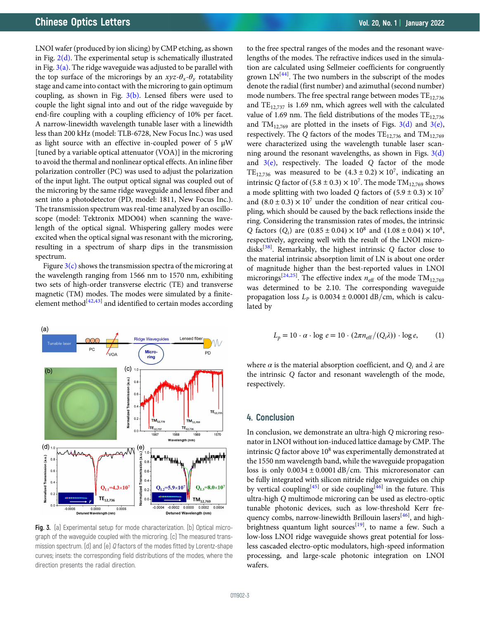LNOI wafer (produced by ion slicing) by CMP etching, as shown in Fig.  $2(d)$ . The experimental setup is schematically illustrated in Fig.  $3(a)$ . The ridge waveguide was adjusted to be parallel with the top surface of the microrings by an  $xyz-\theta_x-\theta_y$  rotatability stage and came into contact with the microring to gain optimum coupling, as shown in Fig.  $3(b)$ . Lensed fibers were used to couple the light signal into and out of the ridge waveguide by end-fire coupling with a coupling efficiency of 10% per facet. A narrow-linewidth wavelength tunable laser with a linewidth less than 200 kHz (model: TLB-6728, New Focus Inc.) was used as light source with an effective in-coupled power of 5 μW [tuned by a variable optical attenuator (VOA)] in the microring to avoid the thermal and nonlinear optical effects. An inline fiber polarization controller (PC) was used to adjust the polarization of the input light. The output optical signal was coupled out of the microring by the same ridge waveguide and lensed fiber and sent into a photodetector (PD, model: 1811, New Focus Inc.). The transmission spectrum was real-time analyzed by an oscilloscope (model: Tektronix MDO04) when scanning the wavelength of the optical signal. Whispering gallery modes were excited when the optical signal was resonant with the microring, resulting in a spectrum of sharp dips in the transmission spectrum.

Figure  $3(c)$  shows the transmission spectra of the microring at the wavelength ranging from 1566 nm to 1570 nm, exhibiting two sets of high-order transverse electric (TE) and transverse magnetic (TM) modes. The modes were simulated by a finite-element method<sup>[\[42](#page-4-0),[43](#page-4-0)]</sup> and identified to certain modes according



Fig. 3. (a) Experimental setup for mode characterization. (b) Optical micrograph of the waveguide coupled with the microring. (c) The measured transmission spectrum. (d) and (e) Q factors of the modes fitted by Lorentz-shape curves; insets: the corresponding field distributions of the modes, where the direction presents the radial direction.

to the free spectral ranges of the modes and the resonant wavelengths of the modes. The refractive indices used in the simulation are calculated using Sellmeier coefficients for congruently grown LN<sup>[[44](#page-4-0)]</sup>. The two numbers in the subscript of the modes denote the radial (first number) and azimuthal (second number) mode numbers. The free spectral range between modes  $TE_{12,736}$ and  $TE_{12,737}$  is 1.69 nm, which agrees well with the calculated value of 1.69 nm. The field distributions of the modes  $TE_{12,736}$ and  $TM_{12,769}$  are plotted in the insets of Figs.  $3(d)$  and  $3(e)$ , respectively. The Q factors of the modes  $TE_{12,736}$  and  $TM_{12,769}$ were characterized using the wavelength tunable laser scanning around the resonant wavelengths, as shown in Figs.  $3(d)$ and  $3(e)$ , respectively. The loaded Q factor of the mode TE<sub>12,736</sub> was measured to be  $(4.3 \pm 0.2) \times 10^7$ , indicating an intrinsic Q factor of  $(5.8 \pm 0.3) \times 10^7$ . The mode TM<sub>12.769</sub> shows a mode splitting with two loaded Q factors of  $(5.9 \pm 0.3) \times 10^7$ and  $(8.0 \pm 0.3) \times 10^7$  under the condition of near critical coupling, which should be caused by the back reflections inside the ring. Considering the transmission rates of modes, the intrinsic Q factors  $(Q_i)$  are  $(0.85 \pm 0.04) \times 10^8$  and  $(1.08 \pm 0.04) \times 10^8$ , respectively, agreeing well with the result of the LNOI micro-disks<sup>[[38\]](#page-3-0)</sup>. Remarkably, the highest intrinsic Q factor close to the material intrinsic absorption limit of LN is about one order of magnitude higher than the best-reported values in LNOI microrings<sup>[\[24,25](#page-3-0)]</sup>. The effective index  $n_{\text{eff}}$  of the mode TM<sub>12,769</sub> was determined to be 2.10. The corresponding waveguide propagation loss  $L_p$  is 0.0034 ± 0.0001 dB/cm, which is calculated by

$$
L_p = 10 \cdot \alpha \cdot \log e = 10 \cdot (2\pi n_{\text{eff}}/(Q_i \lambda)) \cdot \log e, \qquad (1)
$$

where  $\alpha$  is the material absorption coefficient, and  $Q_i$  and  $\lambda$  are the intrinsic Q factor and resonant wavelength of the mode, respectively.

#### 4. Conclusion

In conclusion, we demonstrate an ultra-high Q microring resonator in LNOI without ion-induced lattice damage by CMP. The intrinsic  $Q$  factor above  $10^8$  was experimentally demonstrated at the 1550 nm wavelength band, while the waveguide propagation loss is only  $0.0034 \pm 0.0001$  dB/cm. This microresonator can be fully integrated with silicon nitride ridge waveguides on chip by vertical coupling<sup>[[45](#page-4-0)]</sup> or side coupling<sup>[\[46\]](#page-4-0)</sup> in the future. This ultra-high Q multimode microring can be used as electro-optic tunable photonic devices, such as low-threshold Kerr fre-quency combs, narrow-linewidth Brillouin lasers<sup>[\[46](#page-4-0)]</sup>, and high-brightness quantum light sources<sup>[[19\]](#page-3-0)</sup>, to name a few. Such a low-loss LNOI ridge waveguide shows great potential for lossless cascaded electro-optic modulators, high-speed information processing, and large-scale photonic integration on LNOI wafers.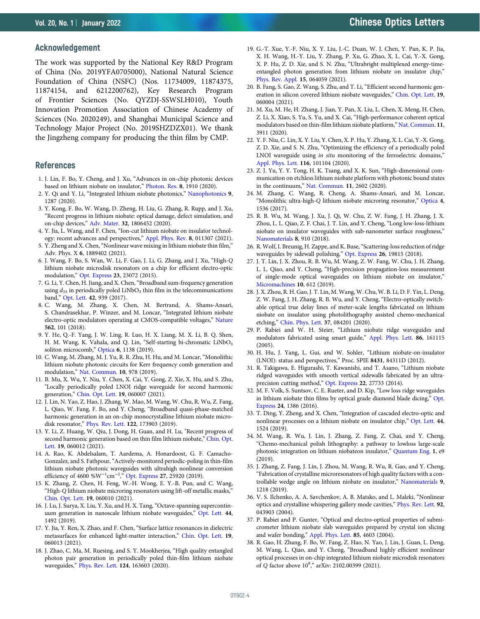#### <span id="page-3-0"></span>Acknowledgement

The work was supported by the National Key R&D Program of China (No. 2019YFA0705000), National Natural Science Foundation of China (NSFC) (Nos. 11734009, 11874375, 11874154, and 6212200762), Key Research Program of Frontier Sciences (No. QYZDJ-SSWSLH010), Youth Innovation Promotion Association of Chinese Academy of Sciences (No. 2020249), and Shanghai Municipal Science and Technology Major Project (No. 2019SHZDZX01). We thank the Jingzheng company for producing the thin film by CMP.

#### References

- 1. J. Lin, F. Bo, Y. Cheng, and J. Xu, "Advances in on-chip photonic devices based on lithium niobate on insulator," [Photon. Res.](https://doi.org/10.1364/PRJ.395305) 8, 1910 (2020).
- 2. Y. Qi and Y. Li, "Integrated lithium niobate photonics," [Nanophotonics](https://doi.org/10.1515/nanoph-2020-0013) 9, 1287 (2020).
- 3. Y. Kong, F. Bo, W. Wang, D. Zheng, H. Liu, G. Zhang, R. Rupp, and J. Xu, "Recent progress in lithium niobate: optical damage, defect simulation, and on-chip devices," [Adv. Mater.](https://doi.org/10.1002/adma.201806452) 32, 1806452 (2020).
- 4. Y. Jia, L. Wang, and F. Chen, "Ion-cut lithium niobate on insulator technology: recent advances and perspectives," [Appl. Phys. Rev.](https://doi.org/10.1063/5.0037771) 8, 011307 (2021).
- 5. Y. Zheng and X. Chen,"Nonlinear wave mixing in lithium niobate thin film," Adv. Phys. X 6, 1889402 (2021).
- 6. J. Wang, F. Bo, S. Wan, W. Li, F. Gao, J. Li, G. Zhang, and J. Xu, "High-Q lithium niobate microdisk resonators on a chip for efficient electro-optic modulation," [Opt. Express](https://doi.org/10.1364/OE.23.023072) 23, 23072 (2015).
- 7. G. Li, Y. Chen, H. Jiang, and X. Chen,"Broadband sum-frequency generation using  $d_{33}$  in periodically poled LiNbO<sub>3</sub> thin film in the telecommunications band," [Opt. Lett.](https://doi.org/10.1364/OL.42.000939) 42, 939 (2017).
- 8. C. Wang, M. Zhang, X. Chen, M. Bertrand, A. Shams-Ansari, S. Chandrasekhar, P. Winzer, and M. Loncar, "Integrated lithium niobate electro-optic modulators operating at CMOS-compatible voltages," [Nature](https://doi.org/10.1038/s41586-018-0551-y) 562, 101 (2018).
- 9. Y. He, Q.-F. Yang, J. W. Ling, R. Luo, H. X. Liang, M. X. Li, B. Q. Shen, H. M. Wang, K. Vahala, and Q. Lin, "Self-starting bi-chromatic LiNbO<sub>3</sub> soliton microcomb," [Optica](https://doi.org/10.1364/OPTICA.6.001138) 6, 1138 (2019).
- 10. C. Wang, M. Zhang, M. J. Yu, R. R. Zhu, H. Hu, and M. Loncar, "Monolithic lithium niobate photonic circuits for Kerr frequency comb generation and modulation," [Nat. Commun.](https://doi.org/10.1038/s41467-019-08969-6) 10, 978 (2019).
- 11. B. Mu, X. Wu, Y. Niu, Y. Chen, X. Cai, Y. Gong, Z. Xie, X. Hu, and S. Zhu, "Locally periodically poled LNOI ridge waveguide for second harmonic generation," [Chin. Opt. Lett.](https://doi.org/10.3788/COL202119.060007) 19, 060007 (2021).
- 12. J. Lin, N. Yao, Z. Hao, J. Zhang, W. Mao, M. Wang, W. Chu, R. Wu, Z. Fang, L. Qiao, W. Fang, F. Bo, and Y. Cheng, "Broadband quasi-phase-matched harmonic generation in an on-chip monocrystalline lithium niobate microdisk resonator," [Phys. Rev. Lett.](https://doi.org/10.1103/PhysRevLett.122.173903) 122, 173903 (2019).
- 13. Y. Li, Z. Huang, W. Qiu, J. Dong, H. Guan, and H. Lu, "Recent progress of second harmonic generation based on thin film lithium niobate," [Chin. Opt.](https://doi.org/10.3788/COL202119.060012) [Lett.](https://doi.org/10.3788/COL202119.060012) 19, 060012 (2021).
- 14. A. Rao, K. Abdelsalam, T. Aardema, A. Honardoost, G. F. Camacho-Gonzalez, and S. Fathpour,"Actively-monitored periodic-poling in thin-film lithium niobate photonic waveguides with ultrahigh nonlinear conversion efficiency of 4600 % $W^{-1}$ cm<sup>-2</sup>," [Opt. Express](https://doi.org/10.1364/OE.27.025920) 27, 25920 (2019).
- 15. K. Zhang, Z. Chen, H. Feng, W.-H. Wong, E. Y.-B. Pun, and C. Wang, "High-Q lithium niobate microring resonators using lift-off metallic masks," [Chin. Opt. Lett.](https://doi.org/10.3788/COL202119.060010) 19, 060010 (2021).
- 16. J. Lu, J. Surya, X. Liu, Y. Xu, and H. X. Tang, "Octave-spanning supercontinuum generation in nanoscale lithium niobate waveguides," [Opt. Lett.](https://doi.org/10.1364/OL.44.001492) 44, 1492 (2019).
- 17. Y. Jia, Y. Ren, X. Zhao, and F. Chen, "Surface lattice resonances in dielectric metasurfaces for enhanced light-matter interaction," [Chin. Opt. Lett.](https://doi.org/10.3788/COL202119.060013) 19, 060013 (2021).
- 18. J. Zhao, C. Ma, M. Ruesing, and S. Y. Mookherjea, "High quality entangled photon pair generation in periodically poled thin-film lithium niobate waveguides," [Phys. Rev. Lett.](https://doi.org/10.1103/PhysRevLett.124.163603) 124, 163603 (2020).
- 19. G.-T. Xue, Y.-F. Niu, X. Y. Liu, J.-C. Duan, W. J. Chen, Y. Pan, K. P. Jia, X. H. Wang, H.-Y. Liu, Y. Zhang, P. Xu, G. Zhao, X. L. Cai, Y.-X. Gong, X. P. Hu, Z. D. Xie, and S. N. Zhu, "Ultrabright multiplexed energy-timeentangled photon generation from lithium niobate on insulator chip," [Phys. Rev. Appl.](https://doi.org/10.1103/PhysRevApplied.15.064059) 15, 064059 (2021).
- 20. B. Fang, S. Gao, Z. Wang, S. Zhu, and T. Li, "Efficient second harmonic generation in silicon covered lithium niobate waveguides," [Chin. Opt. Lett.](https://doi.org/10.3788/COL202119.060004) 19, 060004 (2021).
- 21. M. Xu, M. He, H. Zhang, J. Jian, Y. Pan, X. Liu, L. Chen, X. Meng, H. Chen, Z. Li, X. Xiao, S. Yu, S. Yu, and X. Cai, "High-performance coherent optical modulators based on thin-film lithium niobate platform," [Nat. Commun.](https://doi.org/10.1038/s41467-020-17806-0) 11, 3911 (2020).
- 22. Y. F. Niu, C. Lin, X. Y. Liu, Y. Chen, X. P. Hu, Y. Zhang, X. L. Cai, Y.-X. Gong, Z. D. Xie, and S. N. Zhu, "Optimizing the efficiency of a periodically poled LNOI waveguide using in situ monitoring of the ferroelectric domains," [Appl. Phys. Lett.](https://doi.org/10.1063/1.5142750) 116, 101104 (2020).
- 23. Z. J. Yu, Y. Y. Tong, H. K. Tsang, and X. K. Sun, "High-dimensional communication on etchless lithium niobate platform with photonic bound states in the continuum," [Nat. Commun.](https://doi.org/10.1038/s41467-020-15358-x) 11, 2602 (2020).
- 24. M. Zhang, C. Wang, R. Cheng, A. Shams-Ansari, and M. Loncar, "Monolithic ultra-high-Q lithium niobate microring resonator," [Optica](https://doi.org/10.1364/OPTICA.4.001536) 4, 1536 (2017).
- 25. R. B. Wu, M. Wang, J. Xu, J. Qi, W. Chu, Z. W. Fang, J. H. Zhang, J. X. Zhou, L. L. Qiao, Z. F. Chai, J. T. Lin, and Y. Cheng, "Long low-loss-lithium niobate on insulator waveguides with sub-nanometer surface roughness," [Nanomaterials](https://doi.org/10.3390/nano8110910) 8, 910 (2018).
- 26. R. Wolf, I. Breunig, H. Zappe, and K. Buse,"Scattering-loss reduction of ridge waveguides by sidewall polishing," [Opt. Express](https://doi.org/10.1364/OE.26.019815) 26, 19815 (2018).
- 27. J. T. Lin, J. X. Zhou, R. B. Wu, M. Wang, Z. W. Fang, W. Chu, J. H. Zhang, L. L. Qiao, and Y. Cheng, "High-precision propagation-loss measurement of single-mode optical waveguides on lithium niobate on insulator," [Micromachines](https://doi.org/10.3390/mi10090612) 10, 612 (2019).
- 28. J. X. Zhou, R. H. Gao, J. T. Lin, M. Wang, W. Chu, W. B. Li, D. F. Yin, L. Deng, Z. W. Fang, J. H. Zhang, R. B. Wu, and Y. Cheng, "Electro-optically switchable optical true delay lines of meter-scale lengths fabricated on lithium niobate on insulator using photolithography assisted chemo-mechanical etching," [Chin. Phys. Lett.](https://doi.org/10.1088/0256-307X/37/8/084201) 37, 084201 (2020).
- 29. P. Rabiei and W. H. Steier, "Lithium niobate ridge waveguides and modulators fabricated using smart guide," [Appl. Phys. Lett.](https://doi.org/10.1063/1.1906311) 86, 161115 (2005).
- 30. H. Hu, J. Yang, L. Gui, and W. Sohler, "Lithium niobate-on-insulator (LNOI): status and perspectives," Proc. SPIE 8431, 84311D (2012).
- 31. R. Takigawa, E. Higurashi, T. Kawanishi, and T. Asano, "Lithium niobate ridged waveguides with smooth vertical sidewalls fabricated by an ultraprecision cutting method," [Opt. Express](https://doi.org/10.1364/OE.22.027733) 22, 27733 (2014).
- 32. M. F. Volk, S. Suntsov, C. E. Rueter, and D. Kip, "Low loss ridge waveguides in lithium niobate thin films by optical grade diamond blade dicing," [Opt.](https://doi.org/10.1364/OE.24.001386) [Express](https://doi.org/10.1364/OE.24.001386) 24, 1386 (2016).
- 33. T. Ding, Y. Zheng, and X. Chen, "Integration of cascaded electro-optic and nonlinear processes on a lithium niobate on insulator chip," [Opt. Lett.](https://doi.org/10.1364/OL.44.001524) 44, 1524 (2019).
- 34. M. Wang, R. Wu, J. Lin, J. Zhang, Z. Fang, Z. Chai, and Y. Cheng, "Chemo-mechanical polish lithography: a pathway to lowloss large-scale photonic integration on lithium niobateon insulator," [Quantum Eng.](https://doi.org/10.1002/que2.9) 1, e9 (2019).
- 35. J. Zhang, Z. Fang, J. Lin, J. Zhou, M. Wang, R. Wu, R. Gao, and Y. Cheng, "Fabrication of crystalline microresonators of high quality factors with a controllable wedge angle on lithium niobate on insulator," [Nanomaterials](https://doi.org/10.3390/nano9091218) 9, 1218 (2019).
- 36. V. S. Ilchenko, A. A. Savchenkov, A. B. Matsko, and L. Maleki, "Nonlinear optics and crystalline whispering gallery mode cavities," [Phys. Rev. Lett.](https://doi.org/10.1103/PhysRevLett.92.043903) 92, 043903 (2004).
- 37. P. Rabiei and P. Gunter, "Optical and electro-optical properties of submicrometer lithium niobate slab waveguides prepared by crystal ion slicing and wafer bonding," [Appl. Phys. Lett.](https://doi.org/10.1063/1.1819527) 85, 4603 (2004).
- 38. R. Gao, H. Zhang, F. Bo, W. Fang, Z. Hao, N. Yao, J. Lin, J. Guan, L. Deng, M. Wang, L. Qiao, and Y. Cheng, "Broadband highly efficient nonlinear optical processes in on-chip integrated lithium niobate microdisk resonators of Q factor above  $10^8$ ," arXiv: 2102.00399 (2021).